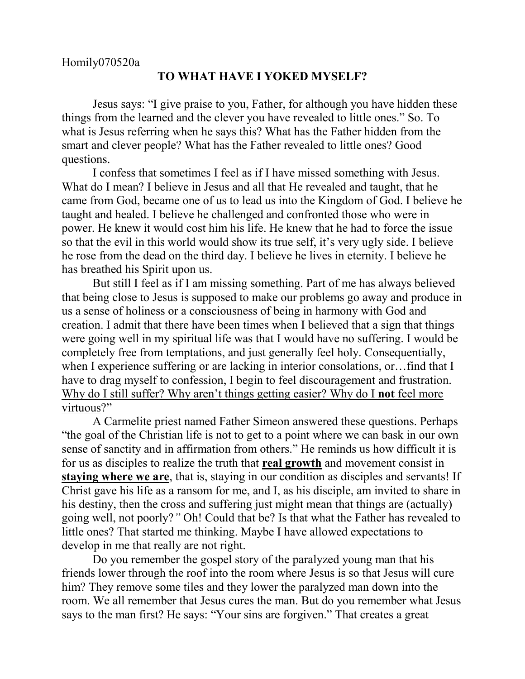## **TO WHAT HAVE I YOKED MYSELF?**

Jesus says: "I give praise to you, Father, for although you have hidden these things from the learned and the clever you have revealed to little ones." So. To what is Jesus referring when he says this? What has the Father hidden from the smart and clever people? What has the Father revealed to little ones? Good questions.

I confess that sometimes I feel as if I have missed something with Jesus. What do I mean? I believe in Jesus and all that He revealed and taught, that he came from God, became one of us to lead us into the Kingdom of God. I believe he taught and healed. I believe he challenged and confronted those who were in power. He knew it would cost him his life. He knew that he had to force the issue so that the evil in this world would show its true self, it's very ugly side. I believe he rose from the dead on the third day. I believe he lives in eternity. I believe he has breathed his Spirit upon us.

But still I feel as if I am missing something. Part of me has always believed that being close to Jesus is supposed to make our problems go away and produce in us a sense of holiness or a consciousness of being in harmony with God and creation. I admit that there have been times when I believed that a sign that things were going well in my spiritual life was that I would have no suffering. I would be completely free from temptations, and just generally feel holy. Consequentially, when I experience suffering or are lacking in interior consolations, or... find that I have to drag myself to confession, I begin to feel discouragement and frustration. Why do I still suffer? Why aren't things getting easier? Why do I **not** feel more virtuous?"

A Carmelite priest named Father Simeon answered these questions. Perhaps "the goal of the Christian life is not to get to a point where we can bask in our own sense of sanctity and in affirmation from others." He reminds us how difficult it is for us as disciples to realize the truth that **real growth** and movement consist in **staying where we are**, that is, staying in our condition as disciples and servants! If Christ gave his life as a ransom for me, and I, as his disciple, am invited to share in his destiny, then the cross and suffering just might mean that things are (actually) going well, not poorly?*"* Oh! Could that be? Is that what the Father has revealed to little ones? That started me thinking. Maybe I have allowed expectations to develop in me that really are not right.

Do you remember the gospel story of the paralyzed young man that his friends lower through the roof into the room where Jesus is so that Jesus will cure him? They remove some tiles and they lower the paralyzed man down into the room. We all remember that Jesus cures the man. But do you remember what Jesus says to the man first? He says: "Your sins are forgiven." That creates a great